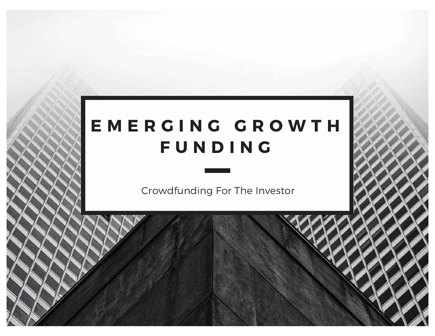# EMERGING GROWTH FUNDING

Crowdfunding For The Investor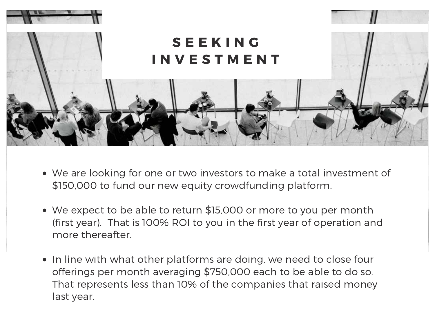

- We are looking for one or two investors to make a total investment of \$150,000 to fund our new equity crowdfunding platform.
- We expect to be able to return \$15,000 or more to you per month (first year). That is 100% ROI to you in the first year of operation and more thereafter.
- In line with what other platforms are doing, we need to close four offerings per month averaging \$750,000 each to be able to do so. That represents less than 10% of the companies that raised money last year.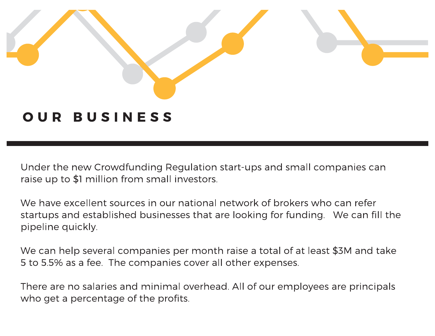

Under the new Crowdfunding Regulation start-ups and small companies can raise up to \$1 million from small investors.

We have excellent sources in our national network of brokers who can refer startups and established businesses that are looking for funding. We can fill the pipeline quickly.

We can help several companies per month raise a total of at least \$3M and take 5 to 5.5% as a fee. The companies cover all other expenses.

There are no salaries and minimal overhead. All of our employees are principals who get a percentage of the profits.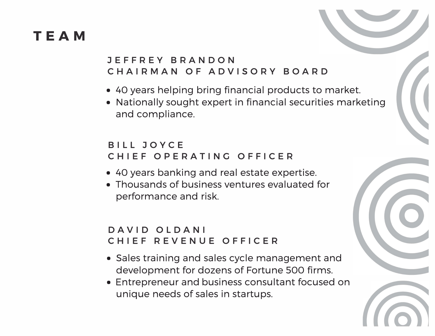### **TEAM**

#### **JEFFREY BRANDON CHAIRMAN OF ADVISORY BOARD**

- 40 years helping bring financial products to market.
- Nationally sought expert in financial securities marketing and compliance.

### **BILL JOYCE CHIEF OPERATING OFFICER**

- 40 years banking and real estate expertise.
- Thousands of business ventures evaluated for performance and risk.

#### **DAVID OLDANI CHIEF REVENUE OFFICER**

- Sales training and sales cycle management and development for dozens of Fortune 500 firms.
- Entrepreneur and business consultant focused on unique needs of sales in startups.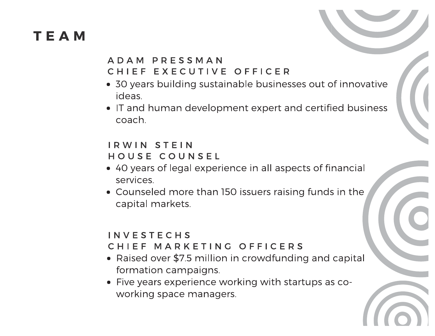### **TEAM**

#### ADAM PRESSMAN CHIEF EXECUTIVE OFFICER

- 30 years building sustainable businesses out of innovative ideas.
- IT and human development expert and certified business coach.

#### IRWIN STEIN HOUSE COUNSEL

- 40 years of legal experience in all aspects of financial services.
- Counseled more than 150 issuers raising funds in the capital markets.

### **INVESTECHS**

#### CHIEF MARKETING OFFICERS

- Raised over \$7.5 million in crowdfunding and capital formation campaigns.
- Five years experience working with startups as coworking space managers.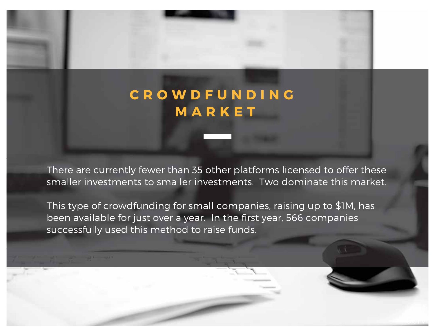## CROWDFUNDING MARKET

There are currently fewer than 35 other platforms licensed to offer these smaller investments to smaller investments. Two dominate this market.

This type of crowdfunding for small companies, raising up to \$1M, has been available for just over a year. In the first year, 566 companies successfully used this method to raise funds.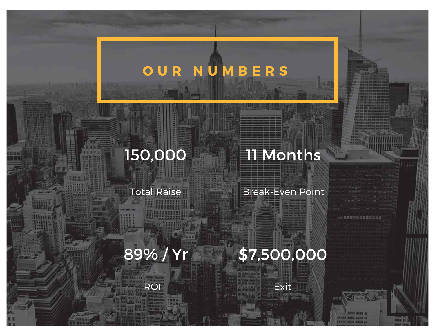#### **NUMBERS** OUR

## 150,000

**Total Raise** 

89% / Yr

**ROI** 

## **11 Months**

Break-Even Point

**JAMMINGAGESING** 

# \$7,500,000

Exit